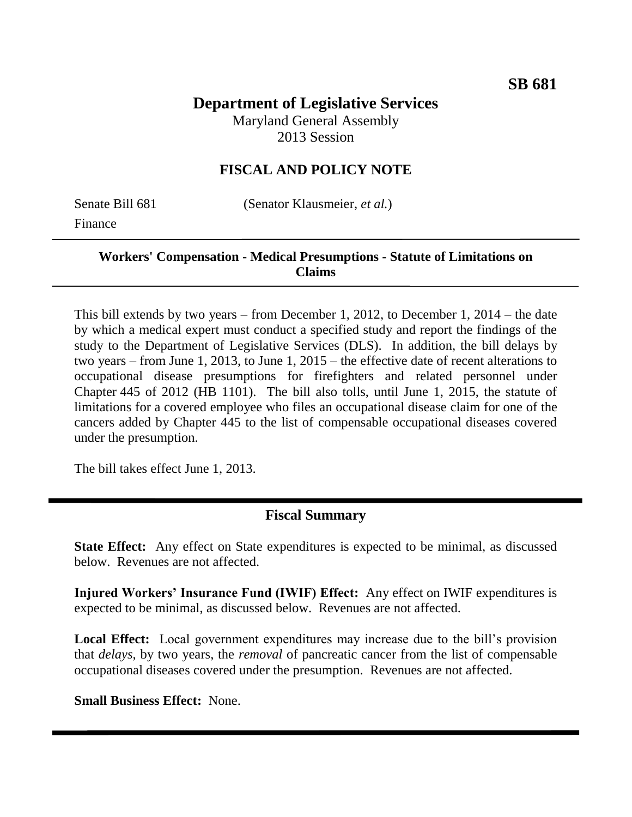# **Department of Legislative Services**

Maryland General Assembly 2013 Session

## **FISCAL AND POLICY NOTE**

Finance

Senate Bill 681 (Senator Klausmeier, *et al.*)

## **Workers' Compensation - Medical Presumptions - Statute of Limitations on Claims**

This bill extends by two years – from December 1, 2012, to December 1, 2014 – the date by which a medical expert must conduct a specified study and report the findings of the study to the Department of Legislative Services (DLS). In addition, the bill delays by two years – from June 1, 2013, to June 1, 2015 – the effective date of recent alterations to occupational disease presumptions for firefighters and related personnel under Chapter 445 of 2012 (HB 1101). The bill also tolls, until June 1, 2015, the statute of limitations for a covered employee who files an occupational disease claim for one of the cancers added by Chapter 445 to the list of compensable occupational diseases covered under the presumption.

The bill takes effect June 1, 2013.

## **Fiscal Summary**

**State Effect:** Any effect on State expenditures is expected to be minimal, as discussed below. Revenues are not affected.

**Injured Workers' Insurance Fund (IWIF) Effect:** Any effect on IWIF expenditures is expected to be minimal, as discussed below. Revenues are not affected.

**Local Effect:** Local government expenditures may increase due to the bill's provision that *delays*, by two years, the *removal* of pancreatic cancer from the list of compensable occupational diseases covered under the presumption. Revenues are not affected.

**Small Business Effect:** None.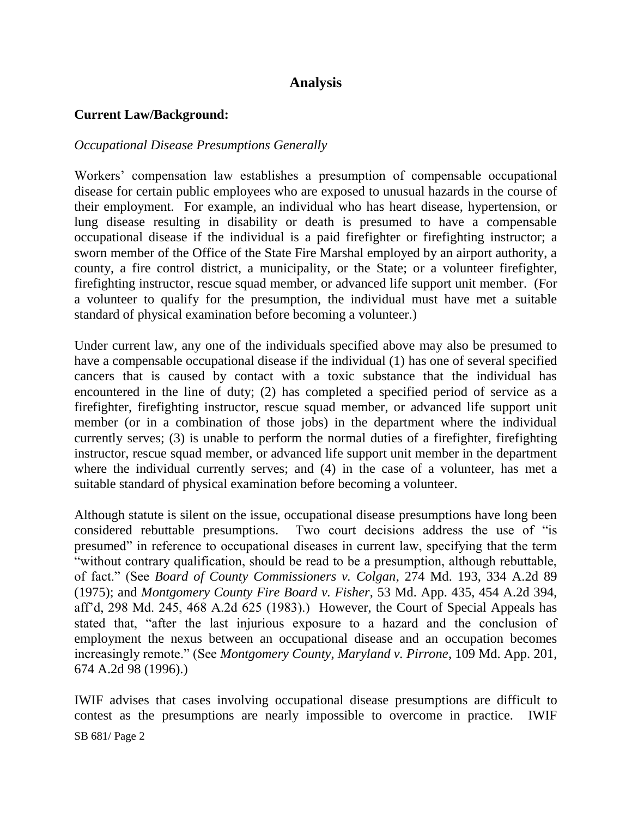## **Analysis**

#### **Current Law/Background:**

#### *Occupational Disease Presumptions Generally*

Workers' compensation law establishes a presumption of compensable occupational disease for certain public employees who are exposed to unusual hazards in the course of their employment. For example, an individual who has heart disease, hypertension, or lung disease resulting in disability or death is presumed to have a compensable occupational disease if the individual is a paid firefighter or firefighting instructor; a sworn member of the Office of the State Fire Marshal employed by an airport authority, a county, a fire control district, a municipality, or the State; or a volunteer firefighter, firefighting instructor, rescue squad member, or advanced life support unit member. (For a volunteer to qualify for the presumption, the individual must have met a suitable standard of physical examination before becoming a volunteer.)

Under current law, any one of the individuals specified above may also be presumed to have a compensable occupational disease if the individual (1) has one of several specified cancers that is caused by contact with a toxic substance that the individual has encountered in the line of duty; (2) has completed a specified period of service as a firefighter, firefighting instructor, rescue squad member, or advanced life support unit member (or in a combination of those jobs) in the department where the individual currently serves; (3) is unable to perform the normal duties of a firefighter, firefighting instructor, rescue squad member, or advanced life support unit member in the department where the individual currently serves; and (4) in the case of a volunteer, has met a suitable standard of physical examination before becoming a volunteer.

Although statute is silent on the issue, occupational disease presumptions have long been considered rebuttable presumptions. Two court decisions address the use of "is presumed" in reference to occupational diseases in current law, specifying that the term "without contrary qualification, should be read to be a presumption, although rebuttable, of fact." (See *Board of County Commissioners v. Colgan*, 274 Md. 193, 334 A.2d 89 (1975); and *Montgomery County Fire Board v. Fisher*, 53 Md. App. 435, 454 A.2d 394, aff'd, 298 Md. 245, 468 A.2d 625 (1983).) However, the Court of Special Appeals has stated that, "after the last injurious exposure to a hazard and the conclusion of employment the nexus between an occupational disease and an occupation becomes increasingly remote." (See *Montgomery County, Maryland v. Pirrone*, 109 Md. App. 201, 674 A.2d 98 (1996).)

SB 681/ Page 2 IWIF advises that cases involving occupational disease presumptions are difficult to contest as the presumptions are nearly impossible to overcome in practice. IWIF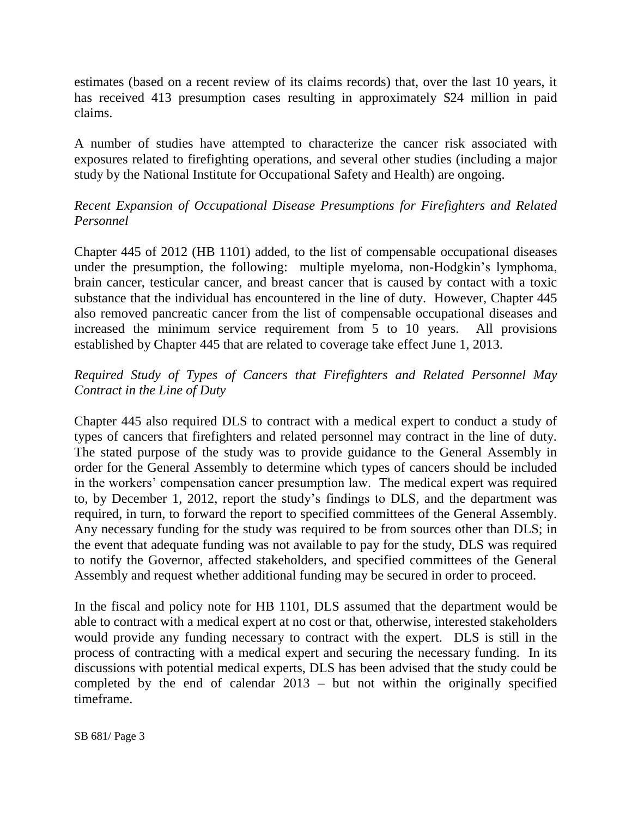estimates (based on a recent review of its claims records) that, over the last 10 years, it has received 413 presumption cases resulting in approximately \$24 million in paid claims.

A number of studies have attempted to characterize the cancer risk associated with exposures related to firefighting operations, and several other studies (including a major study by the National Institute for Occupational Safety and Health) are ongoing.

## *Recent Expansion of Occupational Disease Presumptions for Firefighters and Related Personnel*

Chapter 445 of 2012 (HB 1101) added, to the list of compensable occupational diseases under the presumption, the following: multiple myeloma, non-Hodgkin's lymphoma, brain cancer, testicular cancer, and breast cancer that is caused by contact with a toxic substance that the individual has encountered in the line of duty. However, Chapter 445 also removed pancreatic cancer from the list of compensable occupational diseases and increased the minimum service requirement from 5 to 10 years. All provisions established by Chapter 445 that are related to coverage take effect June 1, 2013.

## *Required Study of Types of Cancers that Firefighters and Related Personnel May Contract in the Line of Duty*

Chapter 445 also required DLS to contract with a medical expert to conduct a study of types of cancers that firefighters and related personnel may contract in the line of duty. The stated purpose of the study was to provide guidance to the General Assembly in order for the General Assembly to determine which types of cancers should be included in the workers' compensation cancer presumption law. The medical expert was required to, by December 1, 2012, report the study's findings to DLS, and the department was required, in turn, to forward the report to specified committees of the General Assembly. Any necessary funding for the study was required to be from sources other than DLS; in the event that adequate funding was not available to pay for the study, DLS was required to notify the Governor, affected stakeholders, and specified committees of the General Assembly and request whether additional funding may be secured in order to proceed.

In the fiscal and policy note for HB 1101, DLS assumed that the department would be able to contract with a medical expert at no cost or that, otherwise, interested stakeholders would provide any funding necessary to contract with the expert. DLS is still in the process of contracting with a medical expert and securing the necessary funding. In its discussions with potential medical experts, DLS has been advised that the study could be completed by the end of calendar 2013 – but not within the originally specified timeframe.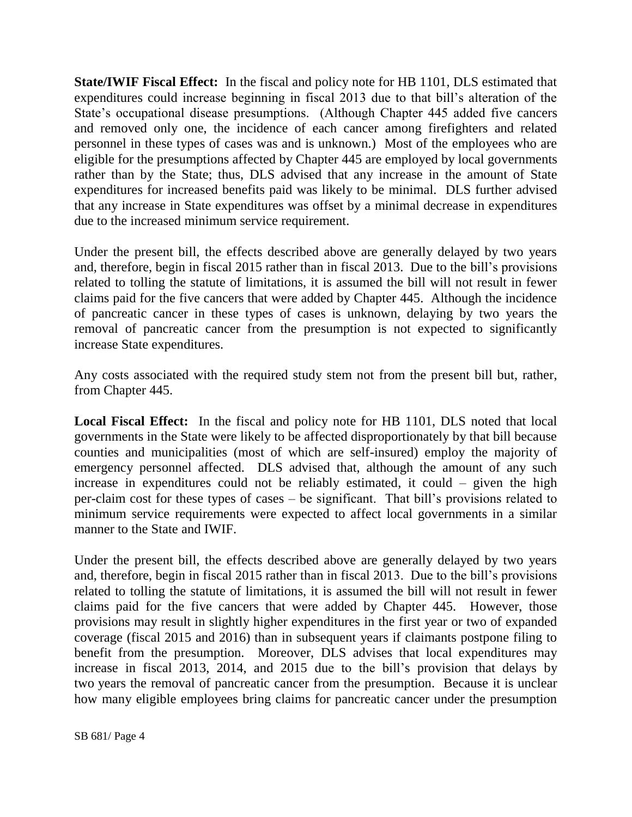**State/IWIF Fiscal Effect:** In the fiscal and policy note for HB 1101, DLS estimated that expenditures could increase beginning in fiscal 2013 due to that bill's alteration of the State's occupational disease presumptions. (Although Chapter 445 added five cancers and removed only one, the incidence of each cancer among firefighters and related personnel in these types of cases was and is unknown.) Most of the employees who are eligible for the presumptions affected by Chapter 445 are employed by local governments rather than by the State; thus, DLS advised that any increase in the amount of State expenditures for increased benefits paid was likely to be minimal. DLS further advised that any increase in State expenditures was offset by a minimal decrease in expenditures due to the increased minimum service requirement.

Under the present bill, the effects described above are generally delayed by two years and, therefore, begin in fiscal 2015 rather than in fiscal 2013. Due to the bill's provisions related to tolling the statute of limitations, it is assumed the bill will not result in fewer claims paid for the five cancers that were added by Chapter 445. Although the incidence of pancreatic cancer in these types of cases is unknown, delaying by two years the removal of pancreatic cancer from the presumption is not expected to significantly increase State expenditures.

Any costs associated with the required study stem not from the present bill but, rather, from Chapter 445.

**Local Fiscal Effect:** In the fiscal and policy note for HB 1101, DLS noted that local governments in the State were likely to be affected disproportionately by that bill because counties and municipalities (most of which are self-insured) employ the majority of emergency personnel affected. DLS advised that, although the amount of any such increase in expenditures could not be reliably estimated, it could – given the high per-claim cost for these types of cases – be significant. That bill's provisions related to minimum service requirements were expected to affect local governments in a similar manner to the State and IWIF.

Under the present bill, the effects described above are generally delayed by two years and, therefore, begin in fiscal 2015 rather than in fiscal 2013. Due to the bill's provisions related to tolling the statute of limitations, it is assumed the bill will not result in fewer claims paid for the five cancers that were added by Chapter 445. However, those provisions may result in slightly higher expenditures in the first year or two of expanded coverage (fiscal 2015 and 2016) than in subsequent years if claimants postpone filing to benefit from the presumption. Moreover, DLS advises that local expenditures may increase in fiscal 2013, 2014, and 2015 due to the bill's provision that delays by two years the removal of pancreatic cancer from the presumption. Because it is unclear how many eligible employees bring claims for pancreatic cancer under the presumption